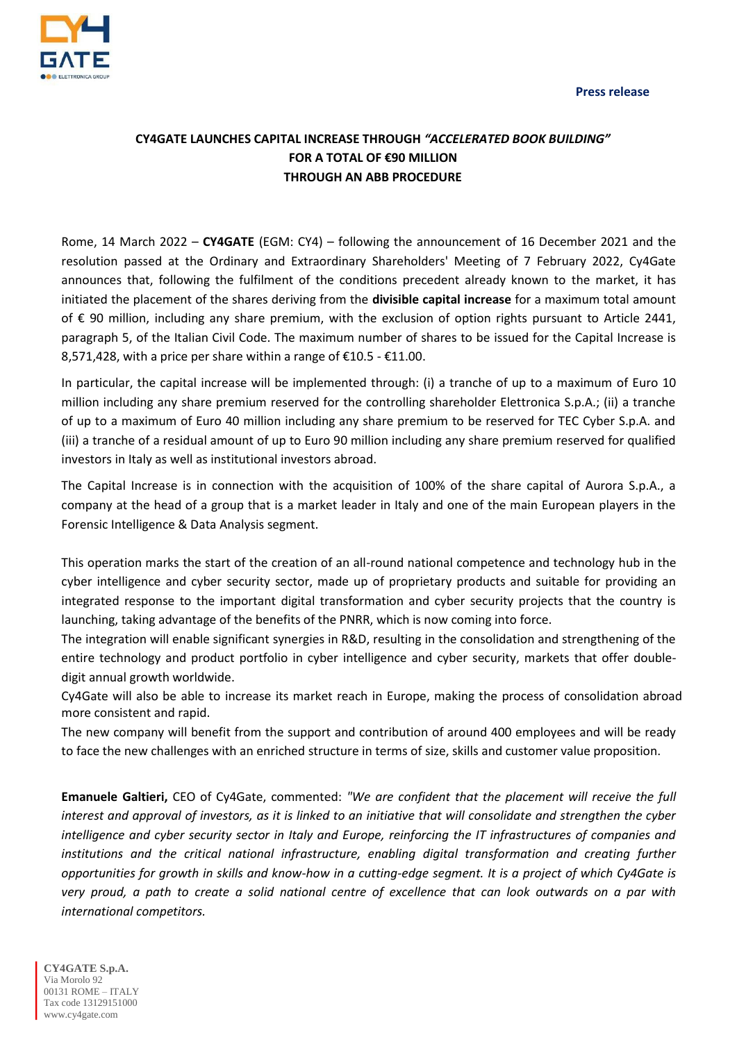

## **CY4GATE LAUNCHES CAPITAL INCREASE THROUGH** *"ACCELERATED BOOK BUILDING"* **FOR A TOTAL OF €90 MILLION THROUGH AN ABB PROCEDURE**

Rome, 14 March 2022 – **CY4GATE** (EGM: CY4) – following the announcement of 16 December 2021 and the resolution passed at the Ordinary and Extraordinary Shareholders' Meeting of 7 February 2022, Cy4Gate announces that, following the fulfilment of the conditions precedent already known to the market, it has initiated the placement of the shares deriving from the **divisible capital increase** for a maximum total amount of € 90 million, including any share premium, with the exclusion of option rights pursuant to Article 2441, paragraph 5, of the Italian Civil Code. The maximum number of shares to be issued for the Capital Increase is 8,571,428, with a price per share within a range of  $£10.5 - £11.00$ .

In particular, the capital increase will be implemented through: (i) a tranche of up to a maximum of Euro 10 million including any share premium reserved for the controlling shareholder Elettronica S.p.A.; (ii) a tranche of up to a maximum of Euro 40 million including any share premium to be reserved for TEC Cyber S.p.A. and (iii) a tranche of a residual amount of up to Euro 90 million including any share premium reserved for qualified investors in Italy as well as institutional investors abroad.

The Capital Increase is in connection with the acquisition of 100% of the share capital of Aurora S.p.A., a company at the head of a group that is a market leader in Italy and one of the main European players in the Forensic Intelligence & Data Analysis segment.

This operation marks the start of the creation of an all-round national competence and technology hub in the cyber intelligence and cyber security sector, made up of proprietary products and suitable for providing an integrated response to the important digital transformation and cyber security projects that the country is launching, taking advantage of the benefits of the PNRR, which is now coming into force.

The integration will enable significant synergies in R&D, resulting in the consolidation and strengthening of the entire technology and product portfolio in cyber intelligence and cyber security, markets that offer doubledigit annual growth worldwide.

Cy4Gate will also be able to increase its market reach in Europe, making the process of consolidation abroad more consistent and rapid.

The new company will benefit from the support and contribution of around 400 employees and will be ready to face the new challenges with an enriched structure in terms of size, skills and customer value proposition.

**Emanuele Galtieri,** CEO of Cy4Gate, commented: *"We are confident that the placement will receive the full interest and approval of investors, as it is linked to an initiative that will consolidate and strengthen the cyber*  intelligence and cyber security sector in Italy and Europe, reinforcing the IT infrastructures of companies and *institutions and the critical national infrastructure, enabling digital transformation and creating further opportunities for growth in skills and know-how in a cutting-edge segment. It is a project of which Cy4Gate is very proud, a path to create a solid national centre of excellence that can look outwards on a par with international competitors.*

**CY4GATE S.p.A.** Via Morolo 92 00131 ROME – ITALY Tax code 13129151000 [www.cy4gate.com](http://www.cy4gate.com/)